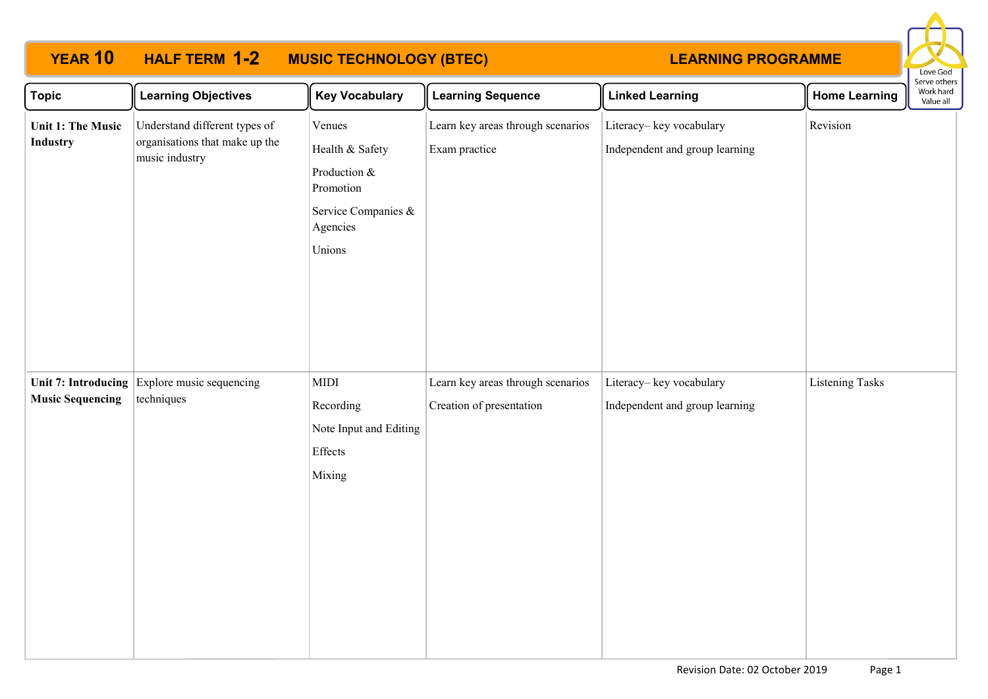# **YEAR 10 HALF TERM MUSIC TECHNOLOGY (BTEC) 1-2**

## **LEARNING PROGRAMME**



| <b>Topic</b>                         | <b>Learning Objectives</b>                                                        | <b>Key Vocabulary</b>                                                                               | <b>Learning Sequence</b>                                      | <b>Linked Learning</b>                                    | <b>Home Learning</b>   | Serve others<br>Work hard<br>Value all |
|--------------------------------------|-----------------------------------------------------------------------------------|-----------------------------------------------------------------------------------------------------|---------------------------------------------------------------|-----------------------------------------------------------|------------------------|----------------------------------------|
| <b>Unit 1: The Music</b><br>Industry | Understand different types of<br>organisations that make up the<br>music industry | Venues<br>Health & Safety<br>Production &<br>Promotion<br>Service Companies &<br>Agencies<br>Unions | Learn key areas through scenarios<br>Exam practice            | Literacy-key vocabulary<br>Independent and group learning | Revision               |                                        |
| <b>Music Sequencing</b>              | Unit 7: Introducing Explore music sequencing<br>techniques                        | MIDI<br>Recording<br>Note Input and Editing<br>Effects<br>Mixing                                    | Learn key areas through scenarios<br>Creation of presentation | Literacy-key vocabulary<br>Independent and group learning | <b>Listening Tasks</b> |                                        |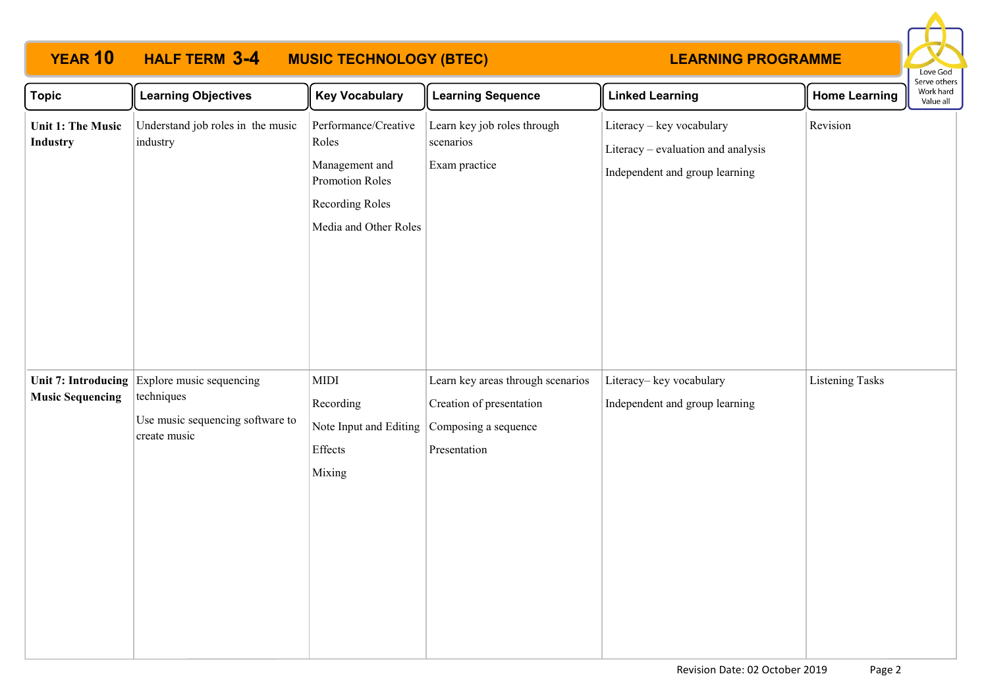# **YEAR 10 HALF TERM MUSIC TECHNOLOGY (BTEC) 3-4**

### **LEARNING PROGRAMME**



| <b>Topic</b>                                          | <b>Learning Objectives</b>                                                                 | <b>Key Vocabulary</b>                                                                                                 | <b>Learning Sequence</b>                                                                              | <b>Linked Learning</b>                                                                            | <b>Home Learning</b>   | <b>JEI AE ANIEI</b> S<br>Work hard<br>Value all |
|-------------------------------------------------------|--------------------------------------------------------------------------------------------|-----------------------------------------------------------------------------------------------------------------------|-------------------------------------------------------------------------------------------------------|---------------------------------------------------------------------------------------------------|------------------------|-------------------------------------------------|
| <b>Unit 1: The Music</b><br><b>Industry</b>           | Understand job roles in the music<br>industry                                              | Performance/Creative<br>Roles<br>Management and<br><b>Promotion Roles</b><br>Recording Roles<br>Media and Other Roles | Learn key job roles through<br>scenarios<br>Exam practice                                             | Literacy - key vocabulary<br>Literacy - evaluation and analysis<br>Independent and group learning | Revision               |                                                 |
| <b>Unit 7: Introducing</b><br><b>Music Sequencing</b> | Explore music sequencing<br>techniques<br>Use music sequencing software to<br>create music | <b>MIDI</b><br>Recording<br>Note Input and Editing<br>Effects<br>Mixing                                               | Learn key areas through scenarios<br>Creation of presentation<br>Composing a sequence<br>Presentation | Literacy-key vocabulary<br>Independent and group learning                                         | <b>Listening Tasks</b> |                                                 |